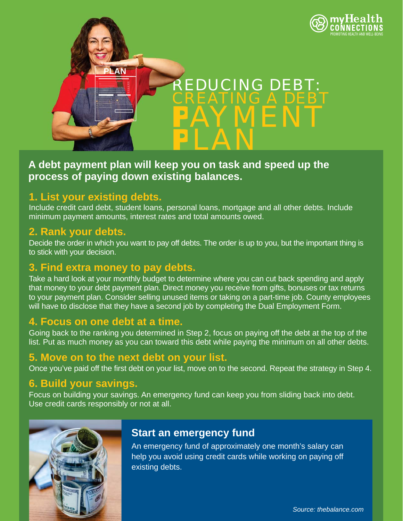

# **A debt payment plan will keep you on task and speed up the process of paying down existing balances.**

#### **1. List your existing debts.**

Include credit card debt, student loans, personal loans, mortgage and all other debts. Include minimum payment amounts, interest rates and total amounts owed.

#### **2. Rank your debts.**

Decide the order in which you want to pay off debts. The order is up to you, but the important thing is to stick with your decision.

# **3. Find extra money to pay debts.**

Take a hard look at your monthly budget to determine where you can cut back spending and apply that money to your debt payment plan. Direct money you receive from gifts, bonuses or tax returns to your payment plan. Consider selling unused items or taking on a part-time job. County employees will have to disclose that they have a second job by completing the Dual Employment Form.

#### **4. Focus on one debt at a time.**

Going back to the ranking you determined in Step 2, focus on paying off the debt at the top of the list. Put as much money as you can toward this debt while paying the minimum on all other debts.

#### **5. Move on to the next debt on your list.**

Once you've paid off the first debt on your list, move on to the second. Repeat the strategy in Step 4.

# **6. Build your savings.**

Focus on building your savings. An emergency fund can keep you from sliding back into debt. Use credit cards responsibly or not at all.



# **Start an emergency fund**

An emergency fund of approximately one month's salary can help you avoid using credit cards while working on paying off existing debts.